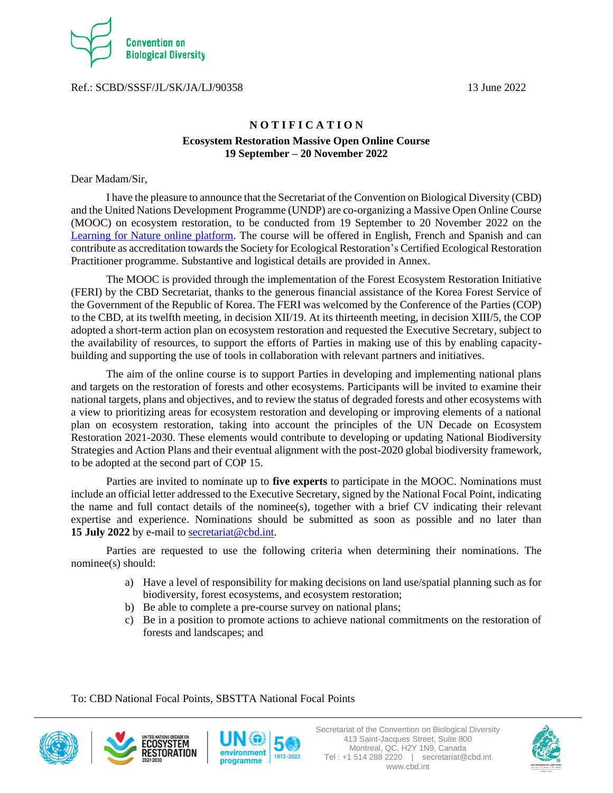

Ref.: SCBD/SSSF/JL/SK/JA/LJ/90358 13 June 2022

# **N O T I F I C A T I O N Ecosystem Restoration Massive Open Online Course 19 September – 20 November 2022**

Dear Madam/Sir,

I have the pleasure to announce that the Secretariat of the Convention on Biological Diversity (CBD) and the United Nations Development Programme (UNDP) are co-organizing a Massive Open Online Course (MOOC) on ecosystem restoration, to be conducted from 19 September to 20 November 2022 on the [Learning for Nature online platform.](https://www.learningfornature.org/en/) The course will be offered in English, French and Spanish and can contribute as accreditation towards the Society for Ecological Restoration's Certified Ecological Restoration Practitioner programme. Substantive and logistical details are provided in Annex.

The MOOC is provided through the implementation of the Forest Ecosystem Restoration Initiative (FERI) by the CBD Secretariat, thanks to the generous financial assistance of the Korea Forest Service of the Government of the Republic of Korea. The FERI was welcomed by the Conference of the Parties (COP) to the CBD, at its twelfth meeting, in decision XII/19. At its thirteenth meeting, in decision XIII/5, the COP adopted a short-term action plan on ecosystem restoration and requested the Executive Secretary, subject to the availability of resources, to support the efforts of Parties in making use of this by enabling capacitybuilding and supporting the use of tools in collaboration with relevant partners and initiatives.

The aim of the online course is to support Parties in developing and implementing national plans and targets on the restoration of forests and other ecosystems. Participants will be invited to examine their national targets, plans and objectives, and to review the status of degraded forests and other ecosystems with a view to prioritizing areas for ecosystem restoration and developing or improving elements of a national plan on ecosystem restoration, taking into account the principles of the UN Decade on Ecosystem Restoration 2021-2030. These elements would contribute to developing or updating National Biodiversity Strategies and Action Plans and their eventual alignment with the post-2020 global biodiversity framework, to be adopted at the second part of COP 15.

Parties are invited to nominate up to **five experts** to participate in the MOOC. Nominations must include an official letter addressed to the Executive Secretary, signed by the National Focal Point, indicating the name and full contact details of the nominee(s), together with a brief CV indicating their relevant expertise and experience. Nominations should be submitted as soon as possible and no later than **15 July 2022** by e-mail to [secretariat@cbd.int.](mailto:secretariat@cbd.int)

Parties are requested to use the following criteria when determining their nominations. The nominee(s) should:

- a) Have a level of responsibility for making decisions on land use/spatial planning such as for biodiversity, forest ecosystems, and ecosystem restoration;
- b) Be able to complete a pre-course survey on national plans;
- c) Be in a position to promote actions to achieve national commitments on the restoration of forests and landscapes; and

To: CBD National Focal Points, SBSTTA National Focal Points







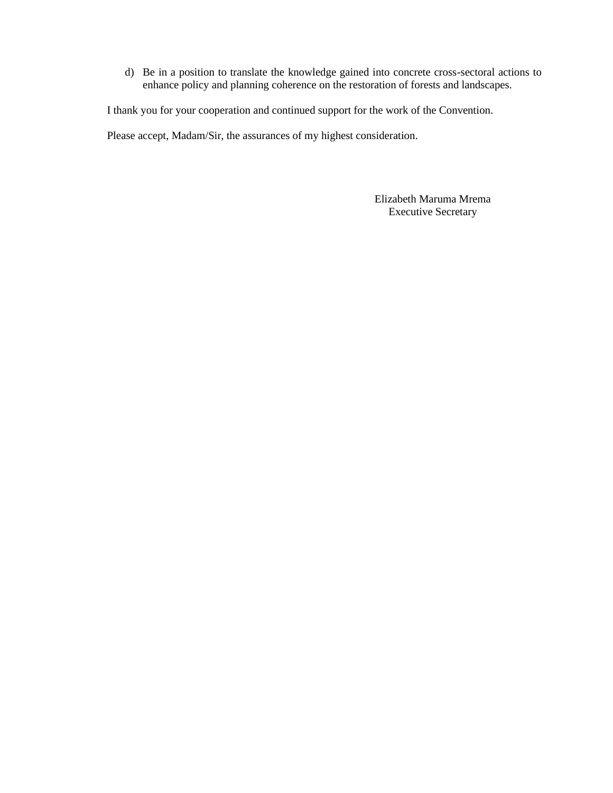d) Be in a position to translate the knowledge gained into concrete cross-sectoral actions to enhance policy and planning coherence on the restoration of forests and landscapes.

I thank you for your cooperation and continued support for the work of the Convention.

Please accept, Madam/Sir, the assurances of my highest consideration.

Elizabeth Maruma Mrema Executive Secretary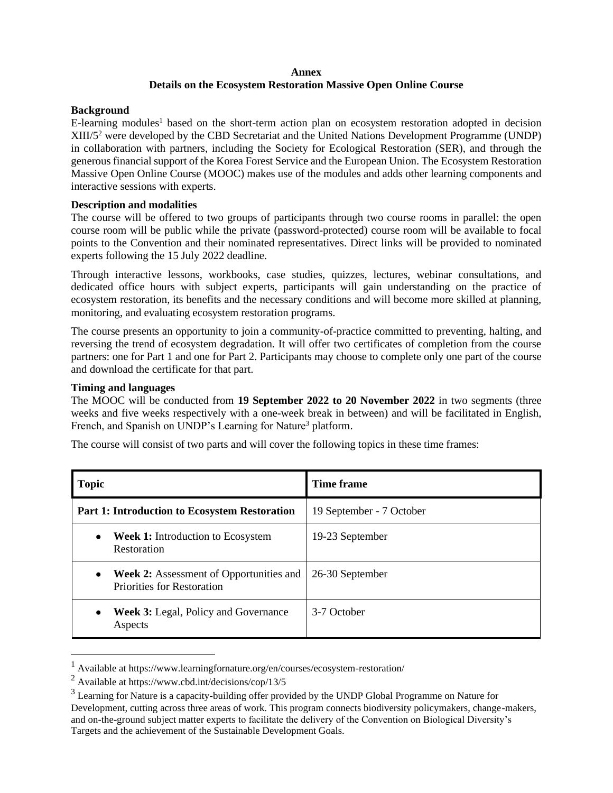#### **Annex Details on the Ecosystem Restoration Massive Open Online Course**

#### **Background**

E-learning modules<sup>1</sup> based on the short-term action plan on ecosystem restoration adopted in decision XIII/5<sup>2</sup> were developed by the CBD Secretariat and the United Nations Development Programme (UNDP) in collaboration with partners, including the Society for Ecological Restoration (SER), and through the generous financial support of the Korea Forest Service and the European Union. The Ecosystem Restoration Massive Open Online Course (MOOC) makes use of the modules and adds other learning components and interactive sessions with experts.

## **Description and modalities**

The course will be offered to two groups of participants through two course rooms in parallel: the open course room will be public while the private (password-protected) course room will be available to focal points to the Convention and their nominated representatives. Direct links will be provided to nominated experts following the 15 July 2022 deadline.

Through interactive lessons, workbooks, case studies, quizzes, lectures, webinar consultations, and dedicated office hours with subject experts, participants will gain understanding on the practice of ecosystem restoration, its benefits and the necessary conditions and will become more skilled at planning, monitoring, and evaluating ecosystem restoration programs.

The course presents an opportunity to join a community-of-practice committed to preventing, halting, and reversing the trend of ecosystem degradation. It will offer two certificates of completion from the course partners: one for Part 1 and one for Part 2. Participants may choose to complete only one part of the course and download the certificate for that part.

## **Timing and languages**

The MOOC will be conducted from **19 September 2022 to 20 November 2022** in two segments (three weeks and five weeks respectively with a one-week break in between) and will be facilitated in English, French, and Spanish on UNDP's Learning for Nature<sup>3</sup> platform.

The course will consist of two parts and will cover the following topics in these time frames:

| <b>Topic</b>                                                                             | Time frame               |
|------------------------------------------------------------------------------------------|--------------------------|
| <b>Part 1: Introduction to Ecosystem Restoration</b>                                     | 19 September - 7 October |
| <b>Week 1:</b> Introduction to Ecosystem<br>٠<br>Restoration                             | 19-23 September          |
| <b>Week 2:</b> Assessment of Opportunities and<br>٠<br><b>Priorities for Restoration</b> | 26-30 September          |
| <b>Week 3:</b> Legal, Policy and Governance<br>$\bullet$<br>Aspects                      | 3-7 October              |

<sup>1</sup> Available at https://www.learningfornature.org/en/courses/ecosystem-restoration/

 $2$  Available at https://www.cbd.int/decisions/cop/13/5

<sup>&</sup>lt;sup>3</sup> Learning for Nature is a capacity-building offer provided by the UNDP Global Programme on Nature for Development, cutting across three areas of work. This program connects biodiversity policymakers, change-makers, and on-the-ground subject matter experts to facilitate the delivery of the Convention on Biological Diversity's Targets and the achievement of the Sustainable Development Goals.